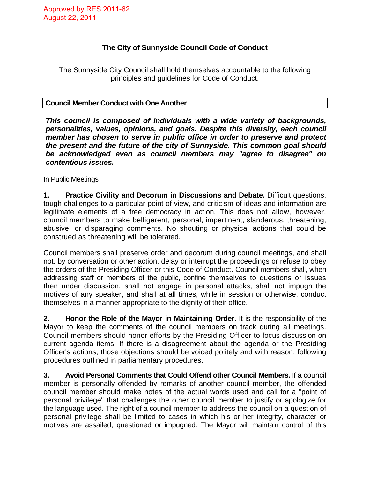# **The City of Sunnyside Council Code of Conduct**

The Sunnyside City Council shall hold themselves accountable to the following principles and guidelines for Code of Conduct.

### **Council Member Conduct with One Another**

*This council is composed of individuals with a wide variety of backgrounds, personalities, values, opinions, and goals. Despite this diversity, each council member has chosen to serve in public office in order to preserve and protect the present and the future of the city of Sunnyside. This common goal should be acknowledged even as council members may "agree to disagree" on contentious issues.* 

### In Public Meetings

**1. Practice Civility and Decorum in Discussions and Debate.** Difficult questions, tough challenges to a particular point of view, and criticism of ideas and information are legitimate elements of a free democracy in action. This does not allow, however, council members to make belligerent, personal, impertinent, slanderous, threatening, abusive, or disparaging comments. No shouting or physical actions that could be construed as threatening will be tolerated.

Council members shall preserve order and decorum during council meetings, and shall not, by conversation or other action, delay or interrupt the proceedings or refuse to obey the orders of the Presiding Officer or this Code of Conduct. Council members shall, when addressing staff or members of the public, confine themselves to questions or issues then under discussion, shall not engage in personal attacks, shall not impugn the motives of any speaker, and shall at all times, while in session or otherwise, conduct themselves in a manner appropriate to the dignity of their office.

**2. Honor the Role of the Mayor in Maintaining Order.** It is the responsibility of the Mayor to keep the comments of the council members on track during all meetings. Council members should honor efforts by the Presiding Officer to focus discussion on current agenda items. If there is a disagreement about the agenda or the Presiding Officer's actions, those objections should be voiced politely and with reason, following procedures outlined in parliamentary procedures.

**3. Avoid Personal Comments that Could Offend other Council Members.** If a council member is personally offended by remarks of another council member, the offended council member should make notes of the actual words used and call for a "point of personal privilege" that challenges the other council member to justify or apologize for the language used. The right of a council member to address the council on a question of personal privilege shall be limited to cases in which his or her integrity, character or motives are assailed, questioned or impugned. The Mayor will maintain control of this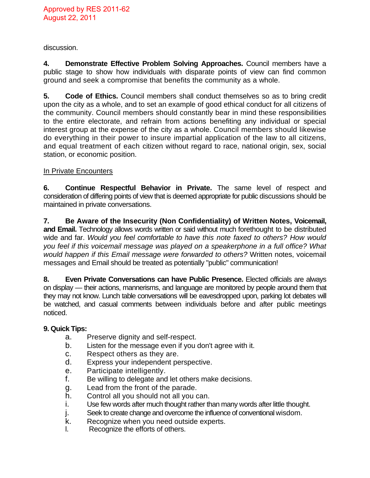discussion.

**4. Demonstrate Effective Problem Solving Approaches.** Council members have a public stage to show how individuals with disparate points of view can find common ground and seek a compromise that benefits the community as a whole.

**5. Code of Ethics.** Council members shall conduct themselves so as to bring credit upon the city as a whole, and to set an example of good ethical conduct for all citizens of the community. Council members should constantly bear in mind these responsibilities to the entire electorate, and refrain from actions benefiting any individual or special interest group at the expense of the city as a whole. Council members should likewise do everything in their power to insure impartial application of the law to all citizens, and equal treatment of each citizen without regard to race, national origin, sex, social station, or economic position.

# In Private Encounters

**6. Continue Respectful Behavior in Private.** The same level of respect and consideration of differing points of view that is deemed appropriate for public discussions should be maintained in private conversations.

**7. Be Aware of the Insecurity (Non Confidentiality) of Written Notes, Voicemail, and Email.** Technology allows words written or said without much forethought to be distributed wide and far. *Would you feel comfortable to have this note faxed to others? How would you feel if this voicemail message was played on a speakerphone in a full office? What would happen if this Email message were forwarded to others?* Written notes, voicemail messages and Email should be treated as potentially "public" communication!

**8. Even Private Conversations can have Public Presence.** Elected officials are always on display — their actions, mannerisms, and language are monitored by people around them that they may not know. Lunch table conversations will be eavesdropped upon, parking lot debates will be watched, and casual comments between individuals before and after public meetings noticed.

### **9. Quick Tips:**

- a. Preserve dignity and self-respect.
- b. Listen for the message even if you don't agree with it.
- c. Respect others as they are.
- d. Express your independent perspective.
- e. Participate intelligently.
- f. Be willing to delegate and let others make decisions.
- g. Lead from the front of the parade.
- h. Control all you should not all you can.
- i. Use few words after much thought rather than many words after little thought.
- j. Seek to create change and overcome the influence of conventional wisdom.
- k. Recognize when you need outside experts.
- l. Recognize the efforts of others.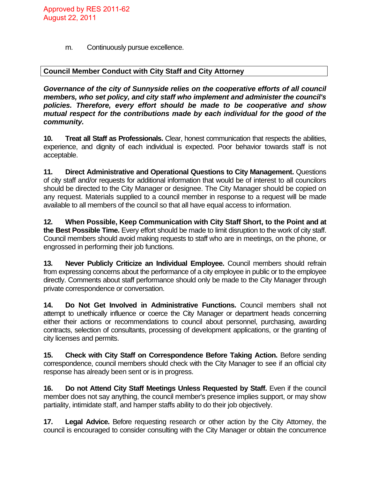m. Continuously pursue excellence.

# **Council Member Conduct with City Staff and City Attorney**

*Governance of the city of Sunnyside relies on the cooperative efforts of all council members, who set policy, and city staff who implement and administer the council's policies. Therefore, every effort should be made to be cooperative and show mutual respect for the contributions made by each individual for the good of the community.* 

**10. Treat all Staff as Professionals.** Clear, honest communication that respects the abilities, experience, and dignity of each individual is expected. Poor behavior towards staff is not acceptable.

**11. Direct Administrative and Operational Questions to City Management.** Questions of city staff and/or requests for additional information that would be of interest to all councilors should be directed to the City Manager or designee. The City Manager should be copied on any request. Materials supplied to a council member in response to a request will be made available to all members of the council so that all have equal access to information.

**12. When Possible, Keep Communication with City Staff Short, to the Point and at the Best Possible Time.** Every effort should be made to limit disruption to the work of city staff. Council members should avoid making requests to staff who are in meetings, on the phone, or engrossed in performing their job functions.

**13. Never Publicly Criticize an Individual Employee.** Council members should refrain from expressing concerns about the performance of a city employee in public or to the employee directly. Comments about staff performance should only be made to the City Manager through private correspondence or conversation.

**14. Do Not Get Involved in Administrative Functions.** Council members shall not attempt to unethically influence or coerce the City Manager or department heads concerning either their actions or recommendations to council about personnel, purchasing, awarding contracts, selection of consultants, processing of development applications, or the granting of city licenses and permits.

**15. Check with City Staff on Correspondence Before Taking Action.** Before sending correspondence, council members should check with the City Manager to see if an official city response has already been sent or is in progress.

**16.** Do not Attend City Staff Meetings Unless Requested by Staff. Even if the council member does not say anything, the council member's presence implies support, or may show partiality, intimidate staff, and hamper staffs ability to do their job objectively.

**17. Legal Advice.** Before requesting research or other action by the City Attorney, the council is encouraged to consider consulting with the City Manager or obtain the concurrence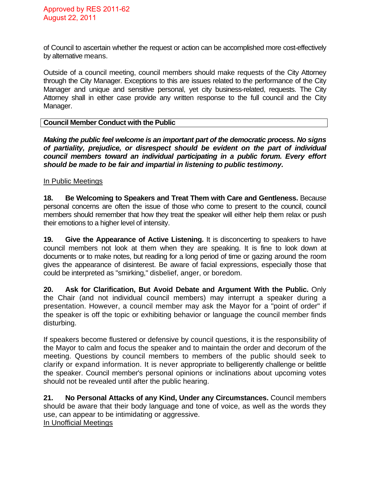of Council to ascertain whether the request or action can be accomplished more cost-effectively by alternative means.

Outside of a council meeting, council members should make requests of the City Attorney through the City Manager. Exceptions to this are issues related to the performance of the City Manager and unique and sensitive personal, yet city business-related, requests. The City Attorney shall in either case provide any written response to the full council and the City Manager.

### **Council Member Conduct with the Public**

*Making the public feel welcome is an important part of the democratic process. No signs of partiality, prejudice, or disrespect should be evident on the part of individual council members toward an individual participating in a public forum. Every effort should be made to be fair and impartial in listening to public testimony.* 

#### In Public Meetings

**18. Be Welcoming to Speakers and Treat Them with Care and Gentleness.** Because personal concerns are often the issue of those who come to present to the council, council members should remember that how they treat the speaker will either help them relax or push their emotions to a higher level of intensity.

**19. Give the Appearance of Active Listening.** It is disconcerting to speakers to have council members not look at them when they are speaking. It is fine to look down at documents or to make notes, but reading for a long period of time or gazing around the room gives the appearance of disinterest. Be aware of facial expressions, especially those that could be interpreted as "smirking," disbelief, anger, or boredom.

**20. Ask for Clarification, But Avoid Debate and Argument With the Public.** Only the Chair (and not individual council members) may interrupt a speaker during a presentation. However, a council member may ask the Mayor for a "point of order" if the speaker is off the topic or exhibiting behavior or language the council member finds disturbing.

If speakers become flustered or defensive by council questions, it is the responsibility of the Mayor to calm and focus the speaker and to maintain the order and decorum of the meeting. Questions by council members to members of the public should seek to clarify or expand information. It is never appropriate to belligerently challenge or belittle the speaker. Council member's personal opinions or inclinations about upcoming votes should not be revealed until after the public hearing.

**21. No Personal Attacks of any Kind, Under any Circumstances.** Council members should be aware that their body language and tone of voice, as well as the words they use, can appear to be intimidating or aggressive. In Unofficial Meetings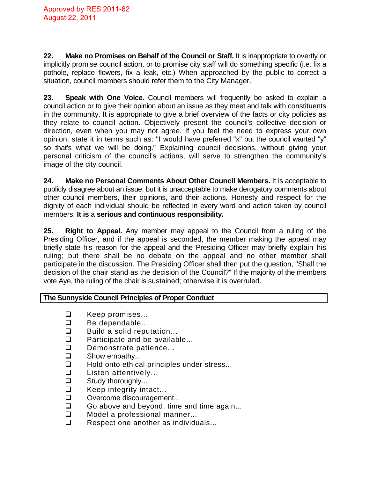**22. Make no Promises on Behalf of the Council or Staff.** It is inappropriate to overtly or implicitly promise council action, or to promise city staff will do something specific (i.e. fix a pothole, replace flowers, fix a leak, etc.) When approached by the public to correct a situation, council members should refer them to the City Manager.

**23. Speak with One Voice.** Council members will frequently be asked to explain a council action or to give their opinion about an issue as they meet and talk with constituents in the community. It is appropriate to give a brief overview of the facts or city policies as they relate to council action. Objectively present the council's collective decision or direction, even when you may not agree. If you feel the need to express your own opinion, state it in terms such as: "I would have preferred "x" but the council wanted "y" so that's what we will be doing." Explaining council decisions, without giving your personal criticism of the council's actions, will serve to strengthen the community's image of the city council.

**24. Make no Personal Comments About Other Council Members.** It is acceptable to publicly disagree about an issue, but it is unacceptable to make derogatory comments about other council members, their opinions, and their actions. Honesty and respect for the dignity of each individual should be reflected in every word and action taken by council members. **It is** a **serious and continuous responsibility.** 

**25. Right to Appeal.** Any member may appeal to the Council from a ruling of the Presiding Officer, and if the appeal is seconded, the member making the appeal may briefly state his reason for the appeal and the Presiding Officer may briefly explain his ruling; but there shall be no debate on the appeal and no other member shall participate in the discussion. The Presiding Officer shall then put the question, "Shall the decision of the chair stand as the decision of the Council?" If the majority of the members vote Aye, the ruling of the chair is sustained; otherwise it is overruled.

# **The Sunnyside Council Principles of Proper Conduct**

- □ Keep promises...
- **Be dependable...**
- $\Box$  Build a solid reputation...
- $\Box$  Participate and be available...
- $\square$  Demonstrate patience...<br> $\square$  Show empathy...
- Show empathy...
- $\Box$  Hold onto ethical principles under stress...
- **Listen attentively...**
- $\Box$  Study thoroughly...
- $\Box$  Keep integrity intact...
- Overcome discouragement...
- $\Box$  Go above and beyond, time and time again...
- □ Model a professional manner...
- $\Box$  Respect one another as individuals...